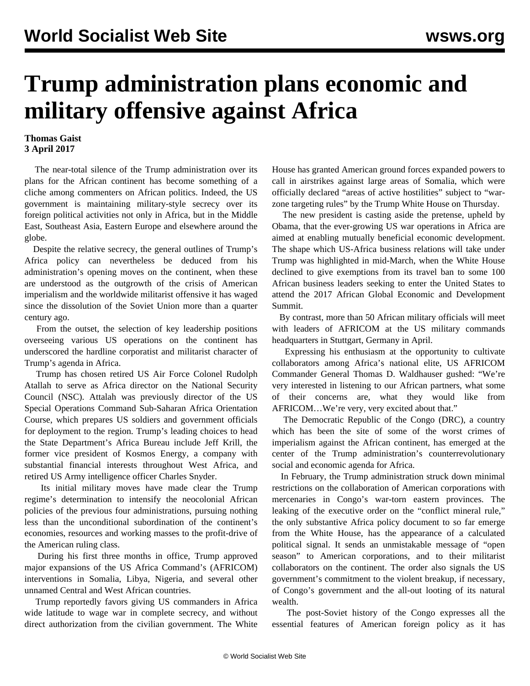## **Trump administration plans economic and military offensive against Africa**

## **Thomas Gaist 3 April 2017**

 The near-total silence of the Trump administration over its plans for the African continent has become something of a cliche among commenters on African politics. Indeed, the US government is maintaining military-style secrecy over its foreign political activities not only in Africa, but in the Middle East, Southeast Asia, Eastern Europe and elsewhere around the globe.

 Despite the relative secrecy, the general outlines of Trump's Africa policy can nevertheless be deduced from his administration's opening moves on the continent, when these are understood as the outgrowth of the crisis of American imperialism and the worldwide militarist offensive it has waged since the dissolution of the Soviet Union more than a quarter century ago.

 From the outset, the selection of key leadership positions overseeing various US operations on the continent has underscored the hardline corporatist and militarist character of Trump's agenda in Africa.

 Trump has chosen retired US Air Force Colonel Rudolph Atallah to serve as Africa director on the National Security Council (NSC). Attalah was previously director of the US Special Operations Command Sub-Saharan Africa Orientation Course, which prepares US soldiers and government officials for deployment to the region. Trump's leading choices to head the State Department's Africa Bureau include Jeff Krill, the former vice president of Kosmos Energy, a company with substantial financial interests throughout West Africa, and retired US Army intelligence officer Charles Snyder.

 Its initial military moves have made clear the Trump regime's determination to intensify the neocolonial African policies of the previous four administrations, pursuing nothing less than the unconditional subordination of the continent's economies, resources and working masses to the profit-drive of the American ruling class.

 During his first three months in office, Trump approved major expansions of the US Africa Command's (AFRICOM) interventions in Somalia, Libya, Nigeria, and several other unnamed Central and West African countries.

 Trump reportedly favors giving US commanders in Africa wide latitude to wage war in complete secrecy, and without direct authorization from the civilian government. The White House has granted American ground forces expanded powers to call in airstrikes against large areas of Somalia, which were officially declared "areas of active hostilities" subject to "warzone targeting rules" by the Trump White House on Thursday.

 The new president is casting aside the pretense, upheld by Obama, that the ever-growing US war operations in Africa are aimed at enabling mutually beneficial economic development. The shape which US-Africa business relations will take under Trump was highlighted in mid-March, when the White House declined to give exemptions from its travel ban to some 100 African business leaders seeking to enter the United States to attend the 2017 African Global Economic and Development Summit.

 By contrast, more than 50 African military officials will meet with leaders of AFRICOM at the US military commands headquarters in Stuttgart, Germany in April.

 Expressing his enthusiasm at the opportunity to cultivate collaborators among Africa's national elite, US AFRICOM Commander General Thomas D. Waldhauser gushed: "We're very interested in listening to our African partners, what some of their concerns are, what they would like from AFRICOM…We're very, very excited about that."

 The Democratic Republic of the Congo (DRC), a country which has been the site of some of the worst crimes of imperialism against the African continent, has emerged at the center of the Trump administration's counterrevolutionary social and economic agenda for Africa.

 In February, the Trump administration struck down minimal restrictions on the collaboration of American corporations with mercenaries in Congo's war-torn eastern provinces. The leaking of the executive order on the "conflict mineral rule," the only substantive Africa policy document to so far emerge from the White House, has the appearance of a calculated political signal. It sends an unmistakable message of "open season" to American corporations, and to their militarist collaborators on the continent. The order also signals the US government's commitment to the violent breakup, if necessary, of Congo's government and the all-out looting of its natural wealth.

 The post-Soviet history of the Congo expresses all the essential features of American foreign policy as it has